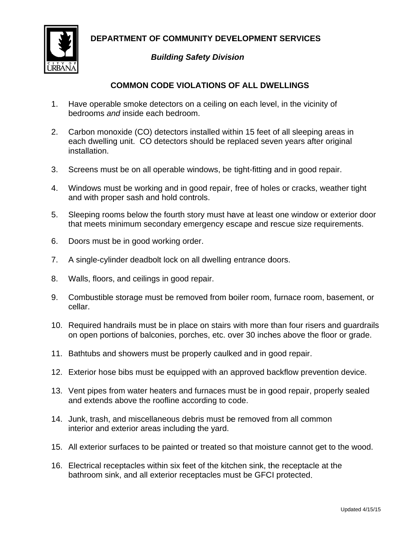DEPARTMENT OF COMMUNITY DEVELOPMENT SERVICES



## **Building Safety Division**

## **COMMON CODE VIOLATIONS OF ALL DWELLINGS**

- $1<sup>1</sup>$ Have operable smoke detectors on a ceiling on each level, in the vicinity of hedrooms and inside each bedroom.
- $2<sup>1</sup>$ Carbon monoxide (CO) detectors installed within 15 feet of all sleeping areas in each dwelling unit. CO detectors should be replaced seven years after original installation.
- 3. Screens must be on all operable windows, be tight-fitting and in good repair.
- 4. Windows must be working and in good repair, free of holes or cracks, weather tight and with proper sash and hold controls.
- $5<sub>1</sub>$ Sleeping rooms below the fourth story must have at least one window or exterior door that meets minimum secondary emergency escape and rescue size requirements.
- 6. Doors must be in good working order.
- $7_{\cdot}$ A single-cylinder deadbolt lock on all dwelling entrance doors.
- 8. Walls, floors, and ceilings in good repair.
- $9<sub>1</sub>$ Combustible storage must be removed from boiler room, furnace room, basement, or cellar.
- 10. Required handrails must be in place on stairs with more than four risers and guardrails on open portions of balconies, porches, etc. over 30 inches above the floor or grade.
- 11. Bathtubs and showers must be properly caulked and in good repair.
- 12. Exterior hose bibs must be equipped with an approved backflow prevention device.
- 13. Vent pipes from water heaters and furnaces must be in good repair, properly sealed and extends above the roofline according to code.
- 14. Junk, trash, and miscellaneous debris must be removed from all common interior and exterior areas including the yard.
- 15. All exterior surfaces to be painted or treated so that moisture cannot get to the wood.
- 16. Electrical receptacles within six feet of the kitchen sink, the receptacle at the bathroom sink, and all exterior receptacles must be GFCI protected.